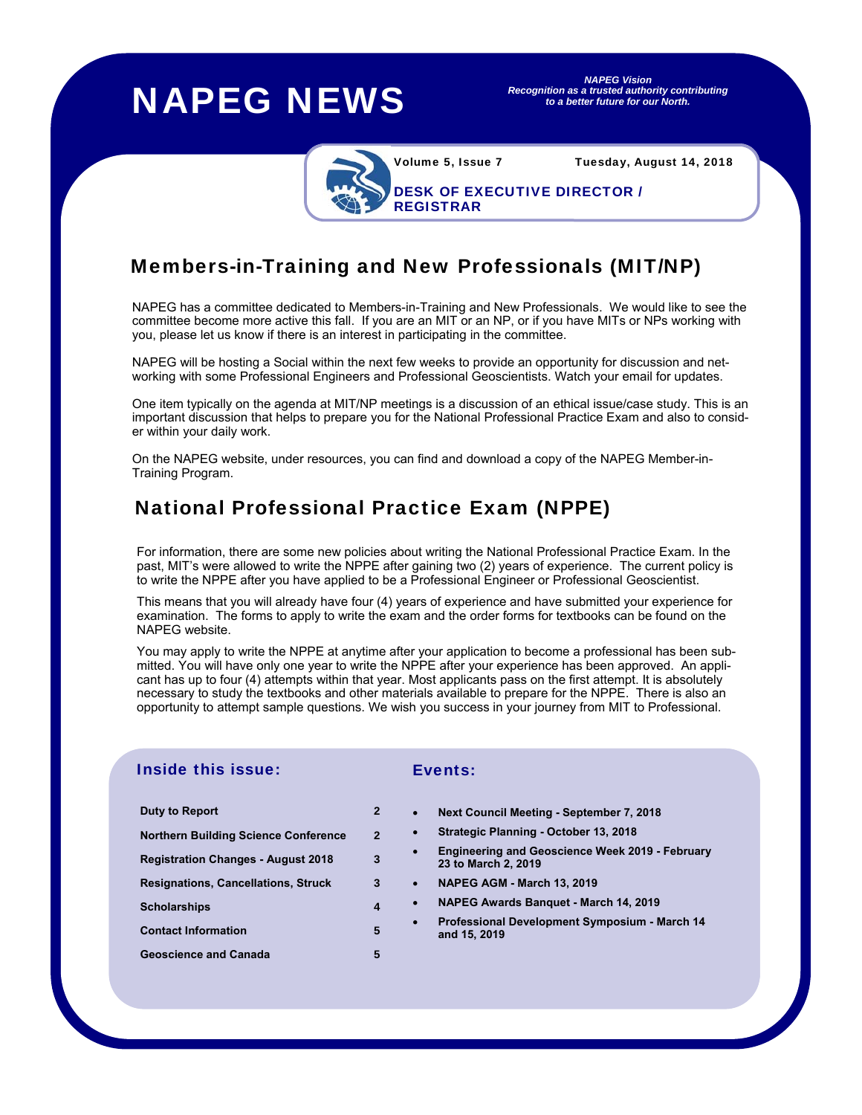## NAPEG NEWS

*NAPEG Vision Recognition as a trusted authority contributing to a better future for our North.* 

DESK OF EXECUTIVE DIRECTOR /

Volume 5, Issue 7 Tuesday, August 14, 2018

# Members-in-Training and New Professionals (MIT/NP)

NAPEG has a committee dedicated to Members-in-Training and New Professionals. We would like to see the committee become more active this fall. If you are an MIT or an NP, or if you have MITs or NPs working with you, please let us know if there is an interest in participating in the committee.

REGISTRAR

NAPEG will be hosting a Social within the next few weeks to provide an opportunity for discussion and networking with some Professional Engineers and Professional Geoscientists. Watch your email for updates.

One item typically on the agenda at MIT/NP meetings is a discussion of an ethical issue/case study. This is an important discussion that helps to prepare you for the National Professional Practice Exam and also to consider within your daily work.

On the NAPEG website, under resources, you can find and download a copy of the NAPEG Member-in-Training Program.

## National Professional Practice Exam (NPPE)

For information, there are some new policies about writing the National Professional Practice Exam. In the past, MIT's were allowed to write the NPPE after gaining two (2) years of experience. The current policy is to write the NPPE after you have applied to be a Professional Engineer or Professional Geoscientist.

This means that you will already have four (4) years of experience and have submitted your experience for examination. The forms to apply to write the exam and the order forms for textbooks can be found on the NAPEG website.

You may apply to write the NPPE at anytime after your application to become a professional has been submitted. You will have only one year to write the NPPE after your experience has been approved. An applicant has up to four (4) attempts within that year. Most applicants pass on the first attempt. It is absolutely necessary to study the textbooks and other materials available to prepare for the NPPE. There is also an opportunity to attempt sample questions. We wish you success in your journey from MIT to Professional.

### Inside this issue:

### Events:

- **Duty to Report** 2 **Northern Building Science Conference** 2 **Registration Changes - August 2018** 3 **Resignations, Cancellations, Struck** 3 **Scholarships** 4 **Contact Information** 5 **Geoscience and Canada** 5
- **Next Council Meeting September 7, 2018**
- **Strategic Planning October 13, 2018**
- **Engineering and Geoscience Week 2019 February 23 to March 2, 2019**
- **NAPEG AGM March 13, 2019**
- **NAPEG Awards Banquet March 14, 2019**
- **Professional Development Symposium March 14 and 15, 2019**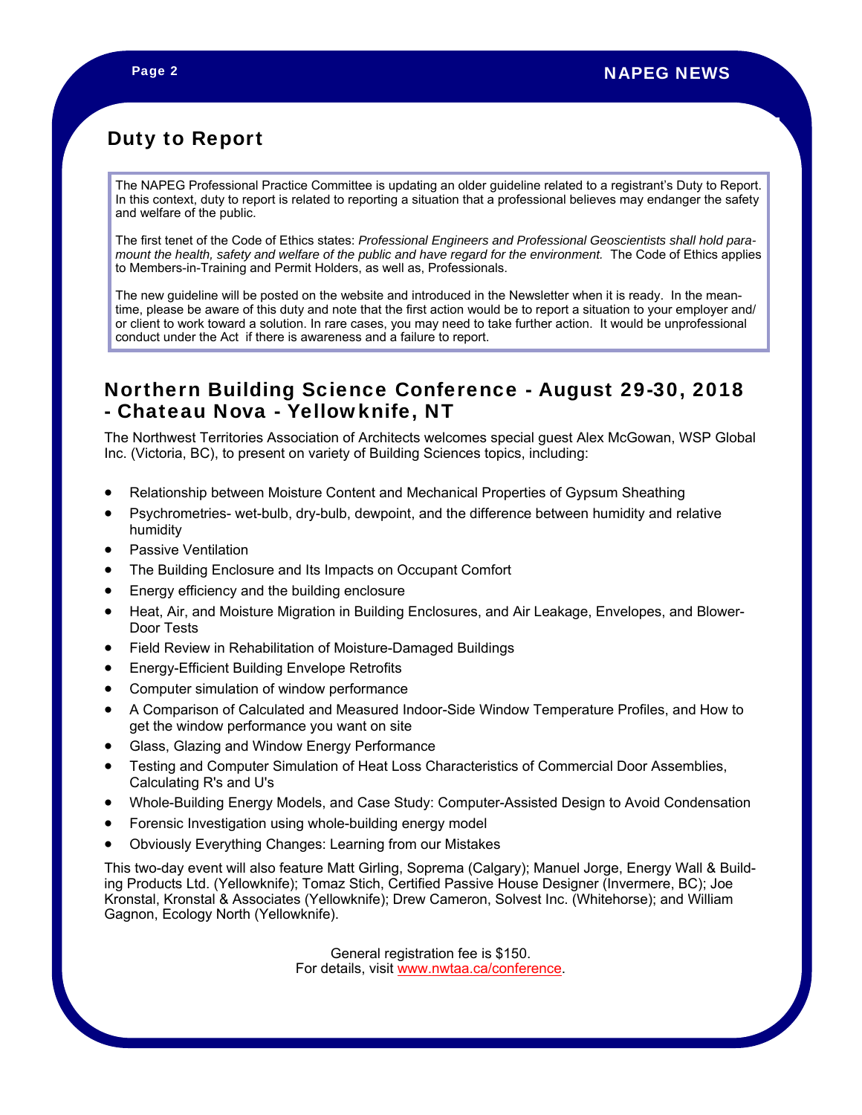## Duty to Report

The NAPEG Professional Practice Committee is updating an older guideline related to a registrant's Duty to Report. In this context, duty to report is related to reporting a situation that a professional believes may endanger the safety and welfare of the public.

The first tenet of the Code of Ethics states: *Professional Engineers and Professional Geoscientists shall hold paramount the health, safety and welfare of the public and have regard for the environment.* The Code of Ethics applies to Members-in-Training and Permit Holders, as well as, Professionals.

The new guideline will be posted on the website and introduced in the Newsletter when it is ready. In the meantime, please be aware of this duty and note that the first action would be to report a situation to your employer and/ or client to work toward a solution. In rare cases, you may need to take further action. It would be unprofessional conduct under the Act if there is awareness and a failure to report.

## Northern Building Science Conference - August 29-30, 2018 - Chateau Nova - Yellowknife, NT

The Northwest Territories Association of Architects welcomes special guest Alex McGowan, WSP Global Inc. (Victoria, BC), to present on variety of Building Sciences topics, including:

- Relationship between Moisture Content and Mechanical Properties of Gypsum Sheathing
- Psychrometries- wet-bulb, dry-bulb, dewpoint, and the difference between humidity and relative humidity
- Passive Ventilation
- The Building Enclosure and Its Impacts on Occupant Comfort
- Energy efficiency and the building enclosure
- Heat, Air, and Moisture Migration in Building Enclosures, and Air Leakage, Envelopes, and Blower-Door Tests
- Field Review in Rehabilitation of Moisture-Damaged Buildings
- Energy-Efficient Building Envelope Retrofits
- Computer simulation of window performance
- A Comparison of Calculated and Measured Indoor-Side Window Temperature Profiles, and How to get the window performance you want on site
- Glass, Glazing and Window Energy Performance
- Testing and Computer Simulation of Heat Loss Characteristics of Commercial Door Assemblies, Calculating R's and U's
- Whole-Building Energy Models, and Case Study: Computer-Assisted Design to Avoid Condensation
- Forensic Investigation using whole-building energy model
- Obviously Everything Changes: Learning from our Mistakes

This two-day event will also feature Matt Girling, Soprema (Calgary); Manuel Jorge, Energy Wall & Building Products Ltd. (Yellowknife); Tomaz Stich, Certified Passive House Designer (Invermere, BC); Joe Kronstal, Kronstal & Associates (Yellowknife); Drew Cameron, Solvest Inc. (Whitehorse); and William Gagnon, Ecology North (Yellowknife).

> General registration fee is \$150. For details, visit www.nwtaa.ca/conference.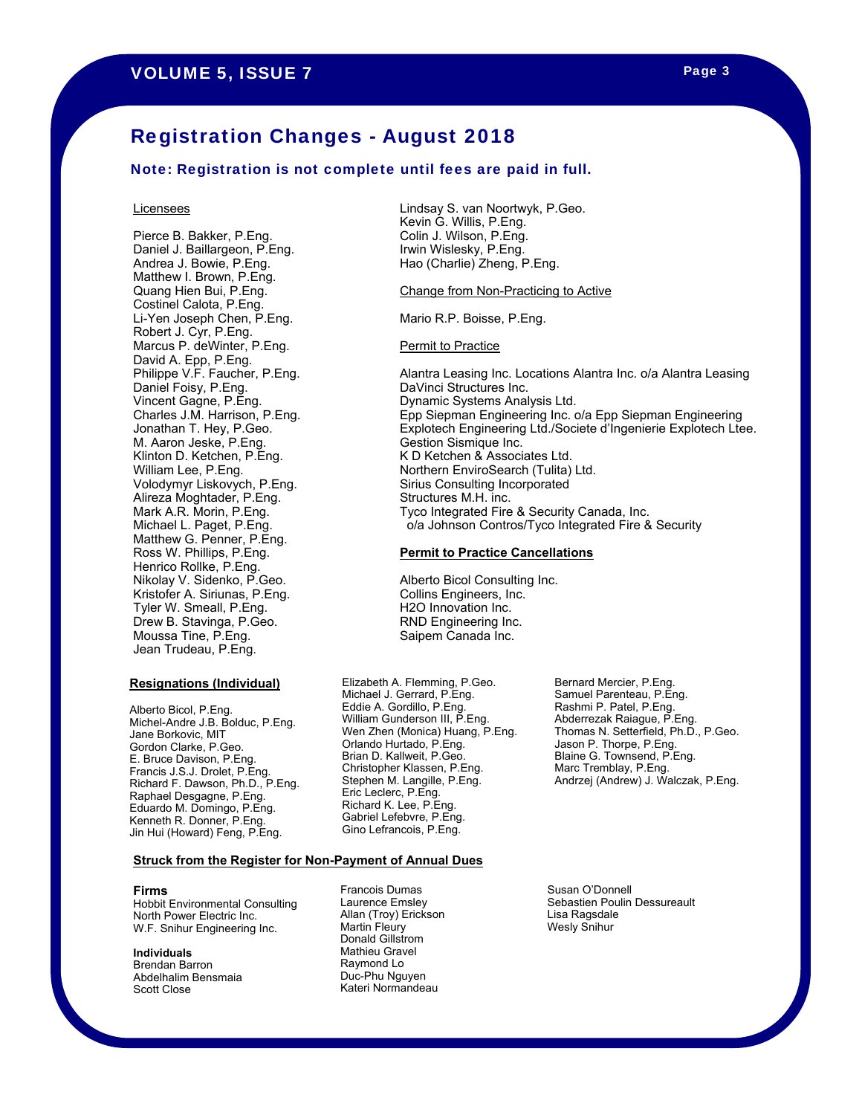## Registration Changes - August 2018

#### Note: Registration is not complete until fees are paid in full.

#### **Licensees**

Pierce B. Bakker, P.Eng. Daniel J. Baillargeon, P.Eng. Andrea J. Bowie, P.Eng. Matthew I. Brown, P.Eng. Quang Hien Bui, P.Eng. Costinel Calota, P.Eng. Li-Yen Joseph Chen, P.Eng. Robert J. Cyr, P.Eng. Marcus P. deWinter, P.Eng. David A. Epp, P.Eng. Philippe V.F. Faucher, P.Eng. Daniel Foisy, P.Eng. Vincent Gagne, P.Eng. Charles J.M. Harrison, P.Eng. Jonathan T. Hey, P.Geo. M. Aaron Jeske, P.Eng. Klinton D. Ketchen, P.Eng. William Lee, P.Eng. Volodymyr Liskovych, P.Eng. Alireza Moghtader, P.Eng. Mark A.R. Morin, P.Eng. Michael L. Paget, P.Eng. Matthew G. Penner, P.Eng. Ross W. Phillips, P.Eng. Henrico Rollke, P.Eng. Nikolay V. Sidenko, P.Geo. Kristofer A. Siriunas, P.Eng. Tyler W. Smeall, P.Eng. Drew B. Stavinga, P.Geo. Moussa Tine, P.Eng. Jean Trudeau, P.Eng.

#### **Resignations (Individual)**

Alberto Bicol, P.Eng. Michel-Andre J.B. Bolduc, P.Eng. Jane Borkovic, MIT Gordon Clarke, P.Geo. E. Bruce Davison, P.Eng. Francis J.S.J. Drolet, P.Eng. Richard F. Dawson, Ph.D., P.Eng. Raphael Desgagne, P.Eng. Eduardo M. Domingo, P.Eng. Kenneth R. Donner, P.Eng. Jin Hui (Howard) Feng, P.Eng.

Lindsay S. van Noortwyk, P.Geo. Kevin G. Willis, P.Eng. Colin J. Wilson, P.Eng. Irwin Wislesky, P.Eng. Hao (Charlie) Zheng, P.Eng.

Change from Non-Practicing to Active

Mario R.P. Boisse, P.Eng.

**Permit to Practice** 

Alantra Leasing Inc. Locations Alantra Inc. o/a Alantra Leasing DaVinci Structures Inc. Dynamic Systems Analysis Ltd. Epp Siepman Engineering Inc. o/a Epp Siepman Engineering Explotech Engineering Ltd./Societe d'Ingenierie Explotech Ltee. Gestion Sismique Inc. K D Ketchen & Associates Ltd. Northern EnviroSearch (Tulita) Ltd. Sirius Consulting Incorporated Structures M.H. inc. Tyco Integrated Fire & Security Canada, Inc. o/a Johnson Contros/Tyco Integrated Fire & Security

#### **Permit to Practice Cancellations**

Alberto Bicol Consulting Inc. Collins Engineers, Inc. H2O Innovation Inc. RND Engineering Inc. Saipem Canada Inc.

Elizabeth A. Flemming, P.Geo. Michael J. Gerrard, P.Eng. Eddie A. Gordillo, P.Eng. William Gunderson III, P.Eng. Wen Zhen (Monica) Huang, P.Eng. Orlando Hurtado, P.Eng. Brian D. Kallweit, P.Geo. Christopher Klassen, P.Eng. Stephen M. Langille, P.Eng. Eric Leclerc, P.Eng. Richard K. Lee, P.Eng. Gabriel Lefebvre, P.Eng. Gino Lefrancois, P.Eng.

Bernard Mercier, P.Eng. Samuel Parenteau, P.Eng. Rashmi P. Patel, P.Eng. Abderrezak Raiague, P.Eng. Thomas N. Setterfield, Ph.D., P.Geo. Jason P. Thorpe, P.Eng. Blaine G. Townsend, P.Eng. Marc Tremblay, P.Eng. Andrzej (Andrew) J. Walczak, P.Eng.

#### **Struck from the Register for Non-Payment of Annual Dues**

#### **Firms**

Hobbit Environmental Consulting North Power Electric Inc. W.F. Snihur Engineering Inc.

#### **Individuals** Brendan Barron Abdelhalim Bensmaia Scott Close

Francois Dumas Laurence Emsley Allan (Troy) Erickson Martin Fleury Donald Gillstrom Mathieu Gravel Raymond Lo Duc-Phu Nguyen Kateri Normandeau

Susan O'Donnell Sebastien Poulin Dessureault Lisa Ragsdale Wesly Snihur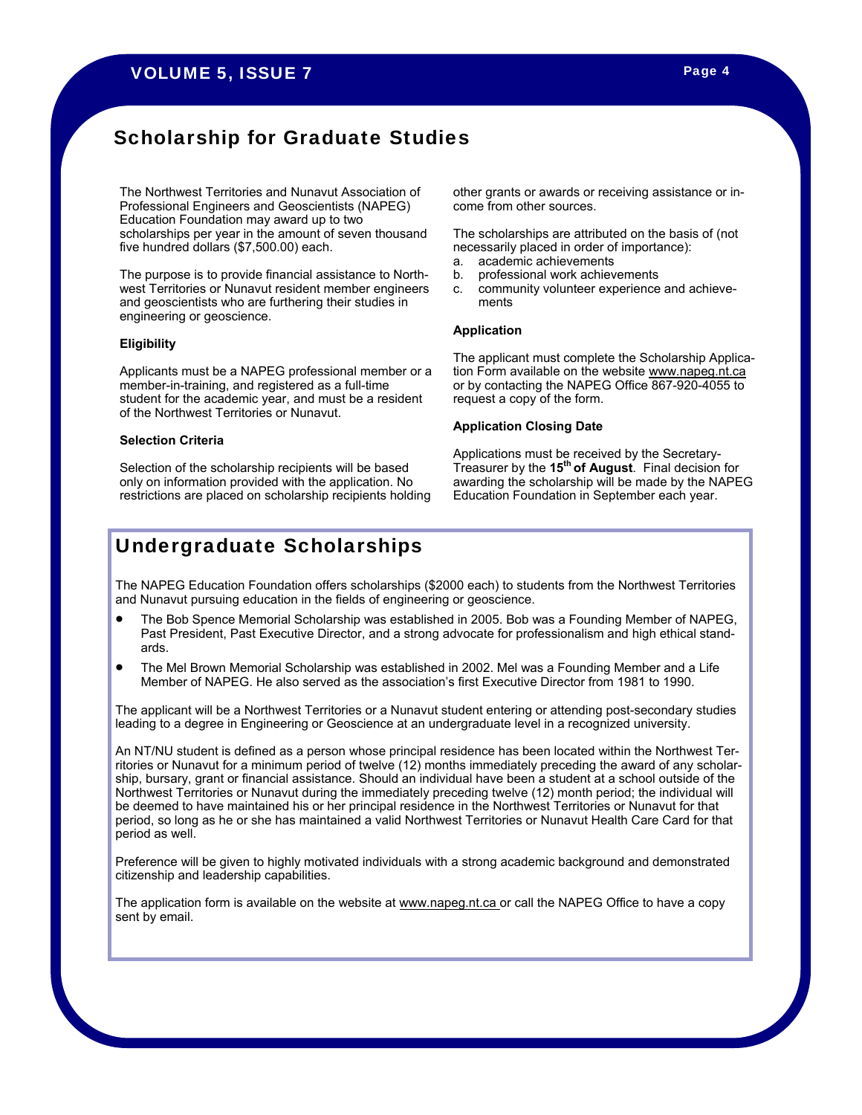## Scholarship for Graduate Studies

 ${\sf Education~F}$ oundation may award up to two  $\overline{\phantom{x}}$ scholarships per year in the amount of seven thousand The scholarships are attributed on the basis of (not<br>five hypotential delices (fix FOO OO) seek ive hundred dollars (\$7,500.00) each. This process in order of importance):<br>necessarily placed in order of importance): The Northwest Territories and Nunavut Association of Professional Engineers and Geoscientists (NAPEG) five hundred dollars (\$7,500.00) each.

The purpose is to provide financial assistance to North- b. professional work achievements west Territories or Nunavut resident member engineers c. community volunteer experience and achieveand geoscientists who are furthering their studies in  $Y$ ou may want to review this document and other National Guidelines on the Engineeris on the Engineers Canada Website at  $\lambda$ engineering or geoscience.

## **Eligibility**

member-in-training, and registered as a full-time entity or by contacting the NAPEG Office 867-920-4055 to student for the academic year, and must be a resident requ member-in-training, and registered as a full-time of the Northwest Territories or Nunavut.

#### **Selection Criteria**

Selection of the scholarship recipients will be based only on information provided with the application. No restrictions are placed on scholarship recipients holding other grants or awards or receiving assistance or income from other sources.

The scholarships are attributed on the basis of (not

- a. academic achievements
- b. professional work achievements
- c. community volunteer experience and achievements

#### **Application**

Engineers Canada's national guides were developed by professional guides were developed by professional engine Applicants must be a NAPEG professional member or a bion Form available on the website www.napeg.nt.ca tion Form available on the website www.napeg.nt.ca request a copy of the form.

#### **Application Closing Date**

Applications must be received by the Secretary-Treasurer by the **15th of August**. Final decision for awarding the scholarship will be made by the NAPEG Education Foundation in September each year.

## Undergraduate Scholarships

The NAPEG Education Foundation offers scholarships (\$2000 each) to students from the Northwest Territories and Nunavut pursuing education in the fields of engineering or geoscience.

- The Bob Spence Memorial Scholarship was established in 2005. Bob was a Founding Member of NAPEG, Past President, Past Executive Director, and a strong advocate for professionalism and high ethical standards.
- The Mel Brown Memorial Scholarship was established in 2002. Mel was a Founding Member and a Life Member of NAPEG. He also served as the association's first Executive Director from 1981 to 1990.

The applicant will be a Northwest Territories or a Nunavut student entering or attending post-secondary studies leading to a degree in Engineering or Geoscience at an undergraduate level in a recognized university.

An NT/NU student is defined as a person whose principal residence has been located within the Northwest Territories or Nunavut for a minimum period of twelve (12) months immediately preceding the award of any scholarship, bursary, grant or financial assistance. Should an individual have been a student at a school outside of the Northwest Territories or Nunavut during the immediately preceding twelve (12) month period; the individual will be deemed to have maintained his or her principal residence in the Northwest Territories or Nunavut for that period, so long as he or she has maintained a valid Northwest Territories or Nunavut Health Care Card for that period as well.

Preference will be given to highly motivated individuals with a strong academic background and demonstrated citizenship and leadership capabilities.

The application form is available on the website at <u>www.napeg.nt.ca or</u> call the NAPEG Office to have a copy sent by email.